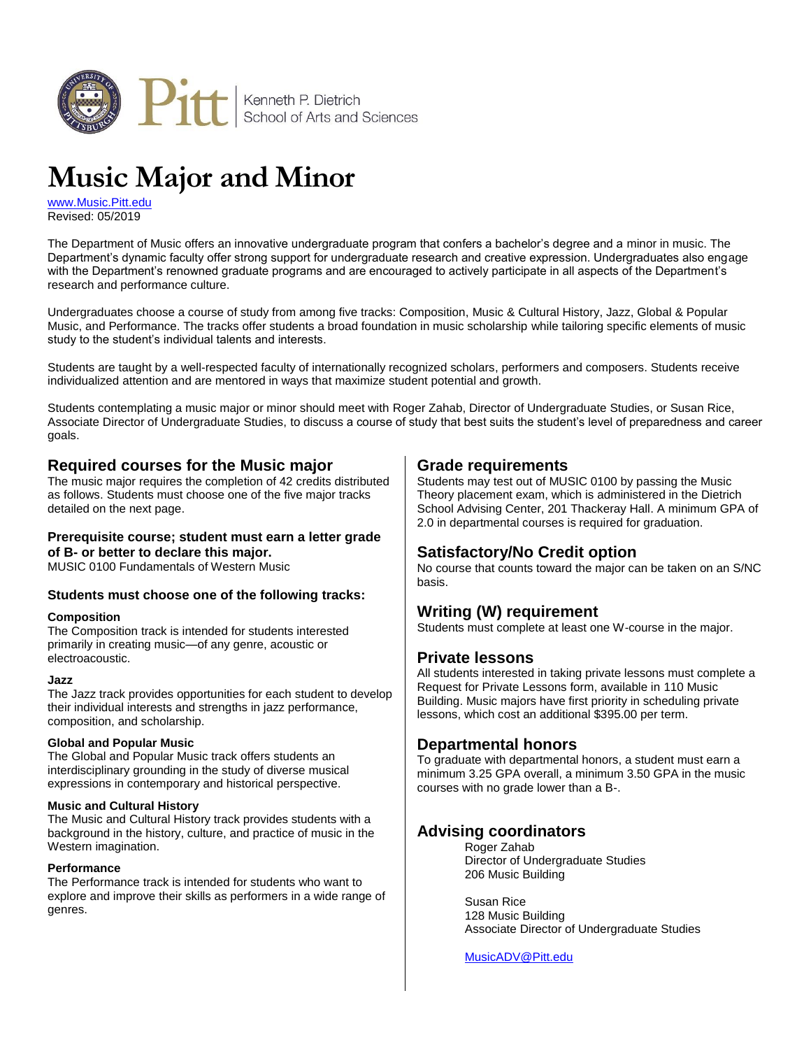

# **Music Major and Minor**

[www.Music.Pitt.edu](http://www.music.pitt.edu/) Revised: 05/2019

The Department of Music offers an innovative undergraduate program that confers a bachelor's degree and a minor in music. The Department's dynamic faculty offer strong support for undergraduate research and creative expression. Undergraduates also engage with the Department's renowned graduate programs and are encouraged to actively participate in all aspects of the Department's research and performance culture.

Undergraduates choose a course of study from among five tracks: Composition, Music & Cultural History, Jazz, Global & Popular Music, and Performance. The tracks offer students a broad foundation in music scholarship while tailoring specific elements of music study to the student's individual talents and interests.

Students are taught by a well-respected faculty of internationally recognized scholars, performers and composers. Students receive individualized attention and are mentored in ways that maximize student potential and growth.

Students contemplating a music major or minor should meet with Roger Zahab, Director of Undergraduate Studies, or Susan Rice, Associate Director of Undergraduate Studies, to discuss a course of study that best suits the student's level of preparedness and career goals.

## **Required courses for the Music major**

The music major requires the completion of 42 credits distributed as follows. Students must choose one of the five major tracks detailed on the next page.

#### **Prerequisite course; student must earn a letter grade of B- or better to declare this major.**

MUSIC 0100 Fundamentals of Western Music

#### **Students must choose one of the following tracks:**

#### **Composition**

The Composition track is intended for students interested primarily in creating music—of any genre, acoustic or electroacoustic.

#### **Jazz**

The Jazz track provides opportunities for each student to develop their individual interests and strengths in jazz performance, composition, and scholarship.

#### **Global and Popular Music**

The Global and Popular Music track offers students an interdisciplinary grounding in the study of diverse musical expressions in contemporary and historical perspective.

#### **Music and Cultural History**

The Music and Cultural History track provides students with a background in the history, culture, and practice of music in the Western imagination.

#### **Performance**

The Performance track is intended for students who want to explore and improve their skills as performers in a wide range of genres.

### **Grade requirements**

Students may test out of MUSIC 0100 by passing the Music Theory placement exam, which is administered in the Dietrich School Advising Center, 201 Thackeray Hall. A minimum GPA of 2.0 in departmental courses is required for graduation.

## **Satisfactory/No Credit option**

No course that counts toward the major can be taken on an S/NC basis.

#### **Writing (W) requirement**

Students must complete at least one W-course in the major.

#### **Private lessons**

All students interested in taking private lessons must complete a Request for Private Lessons form, available in 110 Music Building. Music majors have first priority in scheduling private lessons, which cost an additional \$395.00 per term.

#### **Departmental honors**

To graduate with departmental honors, a student must earn a minimum 3.25 GPA overall, a minimum 3.50 GPA in the music courses with no grade lower than a B-.

#### **Advising coordinators**

Roger Zahab Director of Undergraduate Studies 206 Music Building

Susan Rice 128 Music Building Associate Director of Undergraduate Studies

[MusicADV@Pitt.edu](mailto:musicadv@pitt.edu)